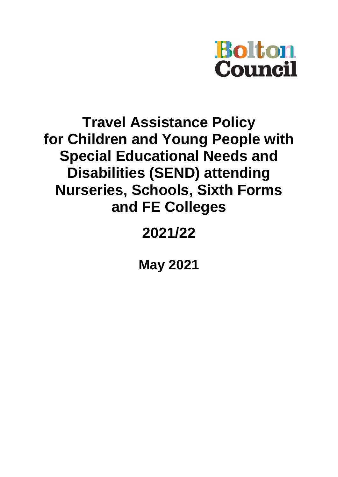

# **Travel Assistance Policy for Children and Young People with Special Educational Needs and Disabilities (SEND) attending Nurseries, Schools, Sixth Forms and FE Colleges**

# **2021/22**

**May 2021**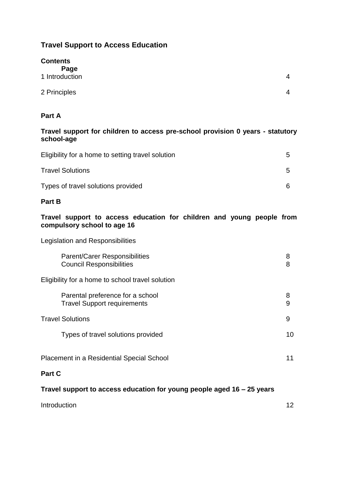# **Travel Support to Access Education**

| <b>Contents</b>        |                |
|------------------------|----------------|
| Page<br>1 Introduction | $\overline{4}$ |
|                        |                |
| 2 Principles           | $\overline{4}$ |

# **Part A**

# **Travel support for children to access pre-school provision 0 years - statutory school-age**

| Eligibility for a home to setting travel solution | G  |
|---------------------------------------------------|----|
| <b>Travel Solutions</b>                           | :5 |
| Types of travel solutions provided                |    |

# **Part B**

# **Travel support to access education for children and young people from compulsory school to age 16**

Legislation and Responsibilities

| Parent/Carer Responsibilities<br><b>Council Responsibilities</b>       | 8<br>8 |
|------------------------------------------------------------------------|--------|
| Eligibility for a home to school travel solution                       |        |
| Parental preference for a school<br><b>Travel Support requirements</b> | 8<br>9 |
| <b>Travel Solutions</b>                                                | 9      |
| Types of travel solutions provided                                     | 10     |
| <b>Placement in a Residential Special School</b>                       | 11     |
| <b>Part C</b>                                                          |        |

# **Travel support to access education for young people aged 16 – 25 years**

| Introduction |  |
|--------------|--|
|              |  |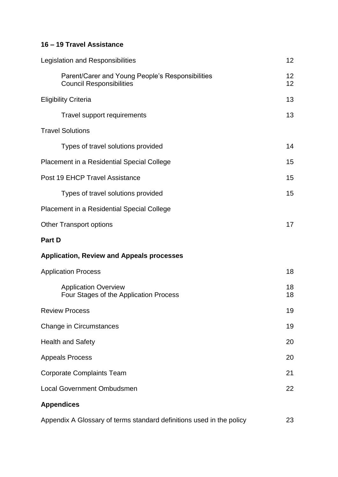# **16 – 19 Travel Assistance**

| Legislation and Responsibilities                                                    | 12       |
|-------------------------------------------------------------------------------------|----------|
| Parent/Carer and Young People's Responsibilities<br><b>Council Responsibilities</b> | 12<br>12 |
| <b>Eligibility Criteria</b>                                                         | 13       |
| Travel support requirements                                                         | 13       |
| <b>Travel Solutions</b>                                                             |          |
| Types of travel solutions provided                                                  | 14       |
| Placement in a Residential Special College                                          | 15       |
| Post 19 EHCP Travel Assistance                                                      | 15       |
| Types of travel solutions provided                                                  | 15       |
| Placement in a Residential Special College                                          |          |
| <b>Other Transport options</b>                                                      | 17       |
| Part D                                                                              |          |
| <b>Application, Review and Appeals processes</b>                                    |          |
| <b>Application Process</b>                                                          | 18       |
| <b>Application Overview</b><br>Four Stages of the Application Process               | 18<br>18 |
| <b>Review Process</b>                                                               | 19       |
| Change in Circumstances                                                             | 19       |
| <b>Health and Safety</b>                                                            | 20       |
| <b>Appeals Process</b>                                                              | 20       |
| <b>Corporate Complaints Team</b>                                                    | 21       |
| <b>Local Government Ombudsmen</b>                                                   | 22       |
| <b>Appendices</b>                                                                   |          |
| Appendix A Glossary of terms standard definitions used in the policy                | 23       |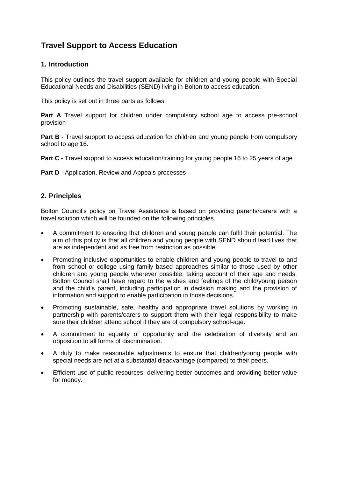# **Travel Support to Access Education**

# **1. Introduction**

This policy outlines the travel support available for children and young people with Special Educational Needs and Disabilities (SEND) living in Bolton to access education.

This policy is set out in three parts as follows:

**Part A** Travel support for children under compulsory school age to access pre-school provision

**Part B** - Travel support to access education for children and young people from compulsory school to age 16.

**Part C** - Travel support to access education/training for young people 16 to 25 years of age

**Part D** - Application, Review and Appeals processes

## **2. Principles**

Bolton Council's policy on Travel Assistance is based on providing parents/carers with a travel solution which will be founded on the following principles.

- A commitment to ensuring that children and young people can fulfil their potential. The aim of this policy is that all children and young people with SEND should lead lives that are as independent and as free from restriction as possible
- Promoting inclusive opportunities to enable children and young people to travel to and from school or college using family based approaches similar to those used by other children and young people wherever possible, taking account of their age and needs. Bolton Council shall have regard to the wishes and feelings of the child/young person and the child's parent, including participation in decision making and the provision of information and support to enable participation in those decisions.
- Promoting sustainable, safe, healthy and appropriate travel solutions by working in partnership with parents/carers to support them with their legal responsibility to make sure their children attend school if they are of compulsory school-age.
- A commitment to equality of opportunity and the celebration of diversity and an opposition to all forms of discrimination.
- A duty to make reasonable adjustments to ensure that children/young people with special needs are not at a substantial disadvantage (compared) to their peers.
- Efficient use of public resources, delivering better outcomes and providing better value for money.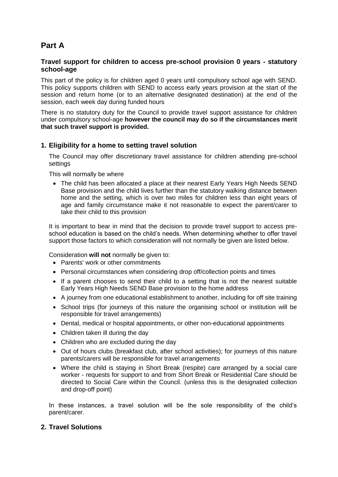# **Part A**

## **Travel support for children to access pre-school provision 0 years - statutory school-age**

This part of the policy is for children aged 0 years until compulsory school age with SEND. This policy supports children with SEND to access early years provision at the start of the session and return home (or to an alternative designated destination) at the end of the session, each week day during funded hours

There is no statutory duty for the Council to provide travel support assistance for children under compulsory school-age **however the council may do so if the circumstances merit that such travel support is provided.**

# **1. Eligibility for a home to setting travel solution**

The Council may offer discretionary travel assistance for children attending pre-school settings

This will normally be where

 The child has been allocated a place at their nearest Early Years High Needs SEND Base provision and the child lives further than the statutory walking distance between home and the setting, which is over two miles for children less than eight years of age and family circumstance make it not reasonable to expect the parent/carer to take their child to this provision

It is important to bear in mind that the decision to provide travel support to access preschool education is based on the child's needs. When determining whether to offer travel support those factors to which consideration will not normally be given are listed below.

Consideration **will not** normally be given to:

- Parents' work or other commitments
- Personal circumstances when considering drop off/collection points and times
- If a parent chooses to send their child to a setting that is not the nearest suitable Early Years High Needs SEND Base provision to the home address
- A journey from one educational establishment to another, including for off site training
- School trips (for journeys of this nature the organising school or institution will be responsible for travel arrangements)
- Dental, medical or hospital appointments, or other non-educational appointments
- Children taken ill during the day
- Children who are excluded during the day
- Out of hours clubs (breakfast club, after school activities); for journeys of this nature parents/carers will be responsible for travel arrangements
- Where the child is staying in Short Break (respite) care arranged by a social care worker - requests for support to and from Short Break or Residential Care should be directed to Social Care within the Council. (unless this is the designated collection and drop-off point)

In these instances, a travel solution will be the sole responsibility of the child's parent/carer.

# **2. Travel Solutions**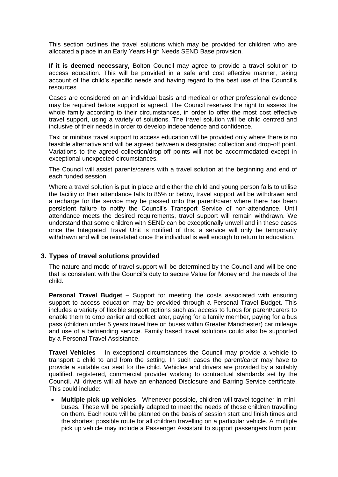This section outlines the travel solutions which may be provided for children who are allocated a place in an Early Years High Needs SEND Base provision.

**If it is deemed necessary,** Bolton Council may agree to provide a travel solution to access education. This will-be provided in a safe and cost effective manner, taking account of the child's specific needs and having regard to the best use of the Council's resources.

Cases are considered on an individual basis and medical or other professional evidence may be required before support is agreed. The Council reserves the right to assess the whole family according to their circumstances, in order to offer the most cost effective travel support, using a variety of solutions. The travel solution will be child centred and inclusive of their needs in order to develop independence and confidence.

Taxi or minibus travel support to access education will be provided only where there is no feasible alternative and will be agreed between a designated collection and drop-off point. Variations to the agreed collection/drop-off points will not be accommodated except in exceptional unexpected circumstances.

The Council will assist parents/carers with a travel solution at the beginning and end of each funded session.

Where a travel solution is put in place and either the child and young person fails to utilise the facility or their attendance falls to 85% or below, travel support will be withdrawn and a recharge for the service may be passed onto the parent/carer where there has been persistent failure to notify the Council's Transport Service of non-attendance. Until attendance meets the desired requirements, travel support will remain withdrawn. We understand that some children with SEND can be exceptionally unwell and in these cases once the Integrated Travel Unit is notified of this, a service will only be temporarily withdrawn and will be reinstated once the individual is well enough to return to education.

#### **3. Types of travel solutions provided**

The nature and mode of travel support will be determined by the Council and will be one that is consistent with the Council's duty to secure Value for Money and the needs of the child.

**Personal Travel Budget** – Support for meeting the costs associated with ensuring support to access education may be provided through a Personal Travel Budget. This includes a variety of flexible support options such as: access to funds for parent/carers to enable them to drop earlier and collect later, paying for a family member, paying for a bus pass (children under 5 years travel free on buses within Greater Manchester) car mileage and use of a befriending service. Family based travel solutions could also be supported by a Personal Travel Assistance.

**Travel Vehicles** – In exceptional circumstances the Council may provide a vehicle to transport a child to and from the setting. In such cases the parent/carer may have to provide a suitable car seat for the child. Vehicles and drivers are provided by a suitably qualified, registered, commercial provider working to contractual standards set by the Council. All drivers will all have an enhanced Disclosure and Barring Service certificate. This could include:

 **Multiple pick up vehicles** - Whenever possible, children will travel together in minibuses. These will be specially adapted to meet the needs of those children travelling on them. Each route will be planned on the basis of session start and finish times and the shortest possible route for all children travelling on a particular vehicle. A multiple pick up vehicle may include a Passenger Assistant to support passengers from point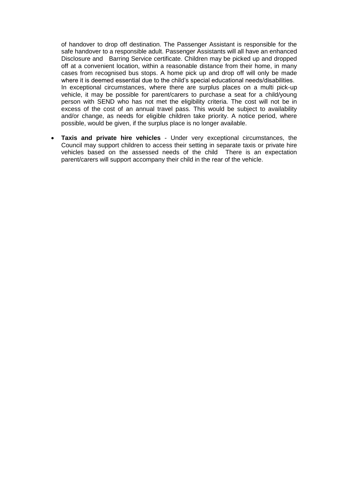of handover to drop off destination. The Passenger Assistant is responsible for the safe handover to a responsible adult. Passenger Assistants will all have an enhanced Disclosure and Barring Service certificate. Children may be picked up and dropped off at a convenient location, within a reasonable distance from their home, in many cases from recognised bus stops. A home pick up and drop off will only be made where it is deemed essential due to the child's special educational needs/disabilities. In exceptional circumstances, where there are surplus places on a multi pick-up vehicle, it may be possible for parent/carers to purchase a seat for a child/young person with SEND who has not met the eligibility criteria. The cost will not be in excess of the cost of an annual travel pass. This would be subject to availability and/or change, as needs for eligible children take priority. A notice period, where possible, would be given, if the surplus place is no longer available.

 **Taxis and private hire vehicles** - Under very exceptional circumstances, the Council may support children to access their setting in separate taxis or private hire vehicles based on the assessed needs of the child There is an expectation parent/carers will support accompany their child in the rear of the vehicle.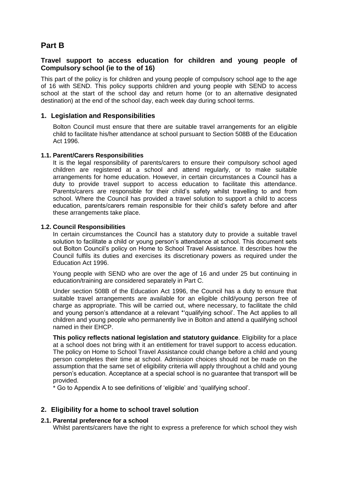# **Part B**

## **Travel support to access education for children and young people of Compulsory school (ie to the of 16)**

This part of the policy is for children and young people of compulsory school age to the age of 16 with SEND. This policy supports children and young people with SEND to access school at the start of the school day and return home (or to an alternative designated destination) at the end of the school day, each week day during school terms.

## **1. Legislation and Responsibilities**

Bolton Council must ensure that there are suitable travel arrangements for an eligible child to facilitate his/her attendance at school pursuant to Section 508B of the Education Act 1996.

#### **1.1. Parent/Carers Responsibilities**

It is the legal responsibility of parents/carers to ensure their compulsory school aged children are registered at a school and attend regularly, or to make suitable arrangements for home education. However, in certain circumstances a Council has a duty to provide travel support to access education to facilitate this attendance. Parents/carers are responsible for their child's safety whilst travelling to and from school. Where the Council has provided a travel solution to support a child to access education, parents/carers remain responsible for their child's safety before and after these arrangements take place.

#### **1.2. Council Responsibilities**

In certain circumstances the Council has a statutory duty to provide a suitable travel solution to facilitate a child or young person's attendance at school. This document sets out Bolton Council's policy on Home to School Travel Assistance. It describes how the Council fulfils its duties and exercises its discretionary powers as required under the Education Act 1996.

Young people with SEND who are over the age of 16 and under 25 but continuing in education/training are considered separately in Part C.

Under section 508B of the Education Act 1996, the Council has a duty to ensure that suitable travel arrangements are available for an eligible child/young person free of charge as appropriate. This will be carried out, where necessary, to facilitate the child and young person's attendance at a relevant \*'qualifying school'. The Act applies to all children and young people who permanently live in Bolton and attend a qualifying school named in their EHCP.

**This policy reflects national legislation and statutory guidance**. Eligibility for a place at a school does not bring with it an entitlement for travel support to access education. The policy on Home to School Travel Assistance could change before a child and young person completes their time at school. Admission choices should not be made on the assumption that the same set of eligibility criteria will apply throughout a child and young person's education. Acceptance at a special school is no guarantee that transport will be provided.

\* Go to Appendix A to see definitions of 'eligible' and 'qualifying school'.

# **2. Eligibility for a home to school travel solution**

#### **2.1. Parental preference for a school**

Whilst parents/carers have the right to express a preference for which school they wish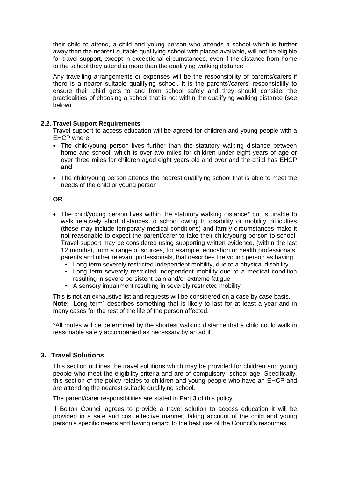their child to attend, a child and young person who attends a school which is further away than the nearest suitable qualifying school with places available, will not be eligible for travel support, except in exceptional circumstances, even if the distance from home to the school they attend is more than the qualifying walking distance.

Any travelling arrangements or expenses will be the responsibility of parents/carers if there is a nearer suitable qualifying school. It is the parents'/carers' responsibility to ensure their child gets to and from school safely and they should consider the practicalities of choosing a school that is not within the qualifying walking distance (see below).

#### **2.2. Travel Support Requirements**

Travel support to access education will be agreed for children and young people with a EHCP where

- The child/young person lives further than the statutory walking distance between home and school, which is over two miles for children under eight years of age or over three miles for children aged eight years old and over and the child has EHCP **and**
- The child/young person attends the nearest qualifying school that is able to meet the needs of the child or young person

#### **OR**

- The child/young person lives within the statutory walking distance\* but is unable to walk relatively short distances to school owing to disability or mobility difficulties (these may include temporary medical conditions) and family circumstances make it not reasonable to expect the parent/carer to take their child/young person to school. Travel support may be considered using supporting written evidence, (within the last 12 months), from a range of sources, for example, education or health professionals, parents and other relevant professionals, that describes the young person as having:
	- Long term severely restricted independent mobility, due to a physical disability
	- Long term severely restricted independent mobility due to a medical condition resulting in severe persistent pain and/or extreme fatigue
	- A sensory impairment resulting in severely restricted mobility

This is not an exhaustive list and requests will be considered on a case by case basis. **Note:** "Long term" describes something that is likely to last for at least a year and in many cases for the rest of the life of the person affected.

\*All routes will be determined by the shortest walking distance that a child could walk in reasonable safety accompanied as necessary by an adult.

# **3. Travel Solutions**

This section outlines the travel solutions which may be provided for children and young people who meet the eligibility criteria and are of compulsory- school age. Specifically, this section of the policy relates to children and young people who have an EHCP and are attending the nearest suitable qualifying school.

The parent/carer responsibilities are stated in Part **3** of this policy.

If Bolton Council agrees to provide a travel solution to access education it will be provided in a safe and cost effective manner, taking account of the child and young person's specific needs and having regard to the best use of the Council's resources.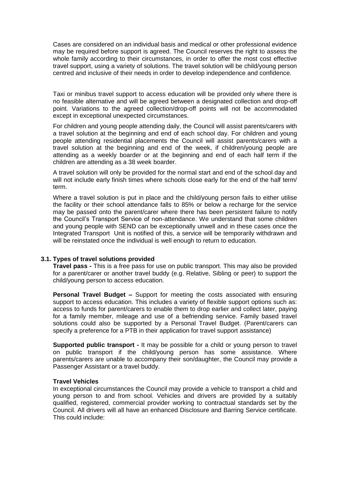Cases are considered on an individual basis and medical or other professional evidence may be required before support is agreed. The Council reserves the right to assess the whole family according to their circumstances, in order to offer the most cost effective travel support, using a variety of solutions. The travel solution will be child/young person centred and inclusive of their needs in order to develop independence and confidence.

Taxi or minibus travel support to access education will be provided only where there is no feasible alternative and will be agreed between a designated collection and drop-off point. Variations to the agreed collection/drop-off points will not be accommodated except in exceptional unexpected circumstances.

For children and young people attending daily, the Council will assist parents/carers with a travel solution at the beginning and end of each school day. For children and young people attending residential placements the Council will assist parents/carers with a travel solution at the beginning and end of the week, if children/young people are attending as a weekly boarder or at the beginning and end of each half term if the children are attending as a 38 week boarder.

A travel solution will only be provided for the normal start and end of the school day and will not include early finish times where schools close early for the end of the half term/ term.

Where a travel solution is put in place and the child/young person fails to either utilise the facility or their school attendance falls to 85% or below a recharge for the service may be passed onto the parent/carer where there has been persistent failure to notify the Council's Transport Service of non-attendance. We understand that some children and young people with SEND can be exceptionally unwell and in these cases once the Integrated Transport Unit is notified of this, a service will be temporarily withdrawn and will be reinstated once the individual is well enough to return to education.

#### **3.1. Types of travel solutions provided**

**Travel pass -** This is a free pass for use on public transport. This may also be provided for a parent/carer or another travel buddy (e.g. Relative, Sibling or peer) to support the child/young person to access education.

**Personal Travel Budget –** Support for meeting the costs associated with ensuring support to access education. This includes a variety of flexible support options such as: access to funds for parent/carers to enable them to drop earlier and collect later, paying for a family member, mileage and use of a befriending service. Family based travel solutions could also be supported by a Personal Travel Budget. (Parent/carers can specify a preference for a PTB in their application for travel support assistance)

**Supported public transport -** It may be possible for a child or young person to travel on public transport if the child/young person has some assistance. Where parents/carers are unable to accompany their son/daughter, the Council may provide a Passenger Assistant or a travel buddy.

#### **Travel Vehicles**

In exceptional circumstances the Council may provide a vehicle to transport a child and young person to and from school. Vehicles and drivers are provided by a suitably qualified, registered, commercial provider working to contractual standards set by the Council. All drivers will all have an enhanced Disclosure and Barring Service certificate. This could include: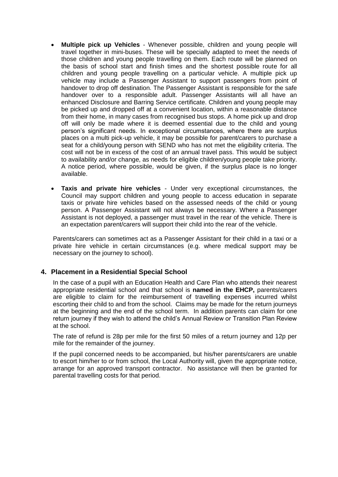- **Multiple pick up Vehicles** Whenever possible, children and young people will travel together in mini-buses. These will be specially adapted to meet the needs of those children and young people travelling on them. Each route will be planned on the basis of school start and finish times and the shortest possible route for all children and young people travelling on a particular vehicle. A multiple pick up vehicle may include a Passenger Assistant to support passengers from point of handover to drop off destination. The Passenger Assistant is responsible for the safe handover over to a responsible adult. Passenger Assistants will all have an enhanced Disclosure and Barring Service certificate. Children and young people may be picked up and dropped off at a convenient location, within a reasonable distance from their home, in many cases from recognised bus stops. A home pick up and drop off will only be made where it is deemed essential due to the child and young person's significant needs. In exceptional circumstances, where there are surplus places on a multi pick-up vehicle, it may be possible for parent/carers to purchase a seat for a child/young person with SEND who has not met the eligibility criteria. The cost will not be in excess of the cost of an annual travel pass. This would be subject to availability and/or change, as needs for eligible children/young people take priority. A notice period, where possible, would be given, if the surplus place is no longer available.
- **Taxis and private hire vehicles** Under very exceptional circumstances, the Council may support children and young people to access education in separate taxis or private hire vehicles based on the assessed needs of the child or young person. A Passenger Assistant will not always be necessary. Where a Passenger Assistant is not deployed, a passenger must travel in the rear of the vehicle. There is an expectation parent/carers will support their child into the rear of the vehicle.

Parents/carers can sometimes act as a Passenger Assistant for their child in a taxi or a private hire vehicle in certain circumstances (e.g. where medical support may be necessary on the journey to school).

# **4. Placement in a Residential Special School**

In the case of a pupil with an Education Health and Care Plan who attends their nearest appropriate residential school and that school is **named in the EHCP,** parents/carers are eligible to claim for the reimbursement of travelling expenses incurred whilst escorting their child to and from the school. Claims may be made for the return journeys at the beginning and the end of the school term. In addition parents can claim for one return journey if they wish to attend the child's Annual Review or Transition Plan Review at the school.

The rate of refund is 28p per mile for the first 50 miles of a return journey and 12p per mile for the remainder of the journey.

If the pupil concerned needs to be accompanied, but his/her parents/carers are unable to escort him/her to or from school, the Local Authority will, given the appropriate notice, arrange for an approved transport contractor. No assistance will then be granted for parental travelling costs for that period.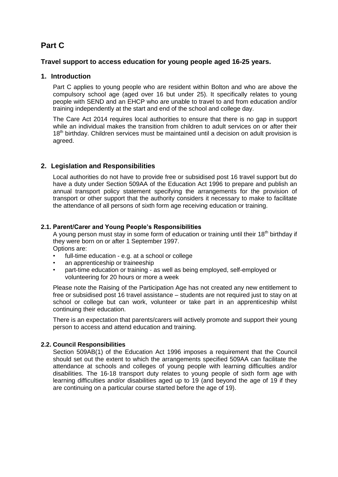# **Part C**

## **Travel support to access education for young people aged 16-25 years.**

## **1. Introduction**

Part C applies to young people who are resident within Bolton and who are above the compulsory school age (aged over 16 but under 25). It specifically relates to young people with SEND and an EHCP who are unable to travel to and from education and/or training independently at the start and end of the school and college day.

The Care Act 2014 requires local authorities to ensure that there is no gap in support while an individual makes the transition from children to adult services on or after their 18<sup>th</sup> birthday. Children services must be maintained until a decision on adult provision is agreed.

# **2. Legislation and Responsibilities**

Local authorities do not have to provide free or subsidised post 16 travel support but do have a duty under Section 509AA of the Education Act 1996 to prepare and publish an annual transport policy statement specifying the arrangements for the provision of transport or other support that the authority considers it necessary to make to facilitate the attendance of all persons of sixth form age receiving education or training.

## **2.1. Parent/Carer and Young People's Responsibilities**

A young person must stay in some form of education or training until their  $18<sup>th</sup>$  birthday if they were born on or after 1 September 1997. Options are:

- full-time education e.g. at a school or college
- an apprenticeship or traineeship
- part-time education or training as well as being employed, self-employed or volunteering for 20 hours or more a week

Please note the Raising of the Participation Age has not created any new entitlement to free or subsidised post 16 travel assistance – students are not required just to stay on at school or college but can work, volunteer or take part in an apprenticeship whilst continuing their education.

There is an expectation that parents/carers will actively promote and support their young person to access and attend education and training.

# **2.2. Council Responsibilities**

Section 509AB(1) of the Education Act 1996 imposes a requirement that the Council should set out the extent to which the arrangements specified 509AA can facilitate the attendance at schools and colleges of young people with learning difficulties and/or disabilities. The 16-18 transport duty relates to young people of sixth form age with learning difficulties and/or disabilities aged up to 19 (and beyond the age of 19 if they are continuing on a particular course started before the age of 19).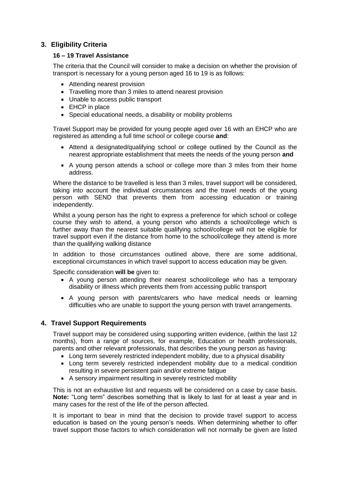# **3. Eligibility Criteria**

### **16 – 19 Travel Assistance**

The criteria that the Council will consider to make a decision on whether the provision of transport is necessary for a young person aged 16 to 19 is as follows:

- Attending nearest provision
- Travelling more than 3 miles to attend nearest provision
- Unable to access public transport
- EHCP in place
- Special educational needs, a disability or mobility problems

Travel Support may be provided for young people aged over 16 with an EHCP who are registered as attending a full time school or college course **and**:

- Attend a designated/qualifying school or college outlined by the Council as the nearest appropriate establishment that meets the needs of the young person **and**
- A young person attends a school or college more than 3 miles from their home address.

Where the distance to be travelled is less than 3 miles, travel support will be considered, taking into account the individual circumstances and the travel needs of the young person with SEND that prevents them from accessing education or training independently.

Whilst a young person has the right to express a preference for which school or college course they wish to attend, a young person who attends a school/college which is further away than the nearest suitable qualifying school/college will not be eligible for travel support even if the distance from home to the school/college they attend is more than the qualifying walking distance

In addition to those circumstances outlined above, there are some additional, exceptional circumstances in which travel support to access education may be given.

Specific consideration **will be** given to:

- A young person attending their nearest school/college who has a temporary disability or illness which prevents them from accessing public transport
- A young person with parents/carers who have medical needs or learning difficulties who are unable to support the young person with travel arrangements.

# **4. Travel Support Requirements**

Travel support may be considered using supporting written evidence, (within the last 12 months), from a range of sources, for example, Education or health professionals, parents and other relevant professionals, that describes the young person as having:

- Long term severely restricted independent mobility, due to a physical disability
- Long term severely restricted independent mobility due to a medical condition resulting in severe persistent pain and/or extreme fatigue
- A sensory impairment resulting in severely restricted mobility

This is not an exhaustive list and requests will be considered on a case by case basis. **Note:** "Long term" describes something that is likely to last for at least a year and in many cases for the rest of the life of the person affected.

It is important to bear in mind that the decision to provide travel support to access education is based on the young person's needs. When determining whether to offer travel support those factors to which consideration will not normally be given are listed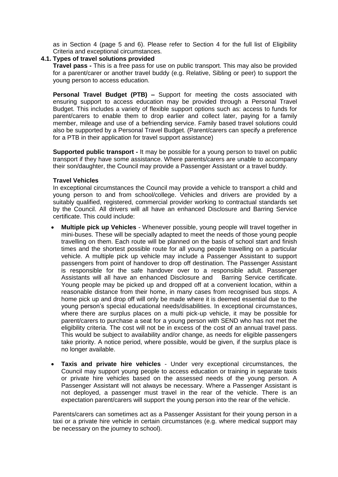as in Section 4 (page 5 and 6). Please refer to Section 4 for the full list of Eligibility Criteria and exceptional circumstances.

#### **4.1. Types of travel solutions provided**

**Travel pass -** This is a free pass for use on public transport. This may also be provided for a parent/carer or another travel buddy (e.g. Relative, Sibling or peer) to support the young person to access education.

**Personal Travel Budget (PTB) –** Support for meeting the costs associated with ensuring support to access education may be provided through a Personal Travel Budget. This includes a variety of flexible support options such as: access to funds for parent/carers to enable them to drop earlier and collect later, paying for a family member, mileage and use of a befriending service. Family based travel solutions could also be supported by a Personal Travel Budget. (Parent/carers can specify a preference for a PTB in their application for travel support assistance)

**Supported public transport -** It may be possible for a young person to travel on public transport if they have some assistance. Where parents/carers are unable to accompany their son/daughter, the Council may provide a Passenger Assistant or a travel buddy.

#### **Travel Vehicles**

In exceptional circumstances the Council may provide a vehicle to transport a child and young person to and from school/college. Vehicles and drivers are provided by a suitably qualified, registered, commercial provider working to contractual standards set by the Council. All drivers will all have an enhanced Disclosure and Barring Service certificate. This could include:

- **Multiple pick up Vehicles** Whenever possible, young people will travel together in mini-buses. These will be specially adapted to meet the needs of those young people travelling on them. Each route will be planned on the basis of school start and finish times and the shortest possible route for all young people travelling on a particular vehicle. A multiple pick up vehicle may include a Passenger Assistant to support passengers from point of handover to drop off destination. The Passenger Assistant is responsible for the safe handover over to a responsible adult. Passenger Assistants will all have an enhanced Disclosure and Barring Service certificate. Young people may be picked up and dropped off at a convenient location, within a reasonable distance from their home, in many cases from recognised bus stops. A home pick up and drop off will only be made where it is deemed essential due to the young person's special educational needs/disabilities. In exceptional circumstances, where there are surplus places on a multi pick-up vehicle, it may be possible for parent/carers to purchase a seat for a young person with SEND who has not met the eligibility criteria. The cost will not be in excess of the cost of an annual travel pass. This would be subject to availability and/or change, as needs for eligible passengers take priority. A notice period, where possible, would be given, if the surplus place is no longer available.
- **Taxis and private hire vehicles** Under very exceptional circumstances, the Council may support young people to access education or training in separate taxis or private hire vehicles based on the assessed needs of the young person. A Passenger Assistant will not always be necessary. Where a Passenger Assistant is not deployed, a passenger must travel in the rear of the vehicle. There is an expectation parent/carers will support the young person into the rear of the vehicle.

Parents/carers can sometimes act as a Passenger Assistant for their young person in a taxi or a private hire vehicle in certain circumstances (e.g. where medical support may be necessary on the journey to school).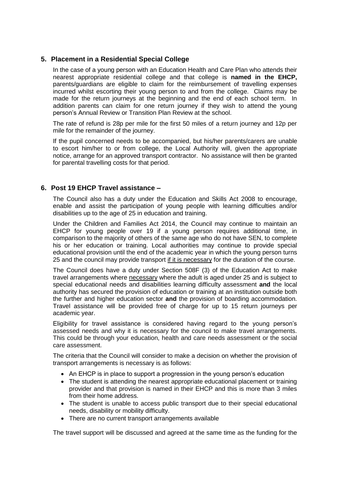# **5. Placement in a Residential Special College**

In the case of a young person with an Education Health and Care Plan who attends their nearest appropriate residential college and that college is **named in the EHCP,**  parents/guardians are eligible to claim for the reimbursement of travelling expenses incurred whilst escorting their young person to and from the college. Claims may be made for the return journeys at the beginning and the end of each school term. In addition parents can claim for one return journey if they wish to attend the young person's Annual Review or Transition Plan Review at the school.

The rate of refund is 28p per mile for the first 50 miles of a return journey and 12p per mile for the remainder of the journey.

If the pupil concerned needs to be accompanied, but his/her parents/carers are unable to escort him/her to or from college, the Local Authority will, given the appropriate notice, arrange for an approved transport contractor. No assistance will then be granted for parental travelling costs for that period.

#### **6. Post 19 EHCP Travel assistance –**

The Council also has a duty under the Education and Skills Act 2008 to encourage, enable and assist the participation of young people with learning difficulties and/or disabilities up to the age of 25 in education and training.

Under the Children and Families Act 2014, the Council may continue to maintain an EHCP for young people over 19 if a young person requires additional time, in comparison to the majority of others of the same age who do not have SEN, to complete his or her education or training. Local authorities may continue to provide special educational provision until the end of the academic year in which the young person turns 25 and the council may provide transport if it is necessary for the duration of the course.

The Council does have a duty under Section 508F (3) of the Education Act to make travel arrangements where necessary where the adult is aged under 25 and is subject to special educational needs and disabilities learning difficulty assessment **and** the local authority has secured the provision of education or training at an institution outside both the further and higher education sector **and** the provision of boarding accommodation. Travel assistance will be provided free of charge for up to 15 return journeys per academic year.

Eligibility for travel assistance is considered having regard to the young person's assessed needs and why it is necessary for the council to make travel arrangements. This could be through your education, health and care needs assessment or the social care assessment.

The criteria that the Council will consider to make a decision on whether the provision of transport arrangements is necessary is as follows:

- An EHCP is in place to support a progression in the young person's education
- The student is attending the nearest appropriate educational placement or training provider and that provision is named in their EHCP and this is more than 3 miles from their home address.
- The student is unable to access public transport due to their special educational needs, disability or mobility difficulty.
- There are no current transport arrangements available

The travel support will be discussed and agreed at the same time as the funding for the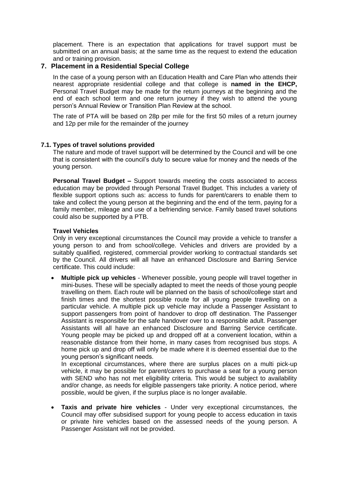placement. There is an expectation that applications for travel support must be submitted on an annual basis; at the same time as the request to extend the education and or training provision.

#### **7. Placement in a Residential Special College**

In the case of a young person with an Education Health and Care Plan who attends their nearest appropriate residential college and that college is **named in the EHCP,**  Personal Travel Budget may be made for the return journeys at the beginning and the end of each school term and one return journey if they wish to attend the young person's Annual Review or Transition Plan Review at the school.

The rate of PTA will be based on 28p per mile for the first 50 miles of a return journey and 12p per mile for the remainder of the journey

#### **7.1. Types of travel solutions provided**

The nature and mode of travel support will be determined by the Council and will be one that is consistent with the council's duty to secure value for money and the needs of the young person.

**Personal Travel Budget –** Support towards meeting the costs associated to access education may be provided through Personal Travel Budget. This includes a variety of flexible support options such as: access to funds for parent/carers to enable them to take and collect the young person at the beginning and the end of the term, paying for a family member, mileage and use of a befriending service. Family based travel solutions could also be supported by a PTB.

#### **Travel Vehicles**

Only in very exceptional circumstances the Council may provide a vehicle to transfer a young person to and from school/college. Vehicles and drivers are provided by a suitably qualified, registered, commercial provider working to contractual standards set by the Council. All drivers will all have an enhanced Disclosure and Barring Service certificate. This could include:

 **Multiple pick up vehicles** - Whenever possible, young people will travel together in mini-buses. These will be specially adapted to meet the needs of those young people travelling on them. Each route will be planned on the basis of school/college start and finish times and the shortest possible route for all young people travelling on a particular vehicle. A multiple pick up vehicle may include a Passenger Assistant to support passengers from point of handover to drop off destination. The Passenger Assistant is responsible for the safe handover over to a responsible adult. Passenger Assistants will all have an enhanced Disclosure and Barring Service certificate. Young people may be picked up and dropped off at a convenient location, within a reasonable distance from their home, in many cases from recognised bus stops. A home pick up and drop off will only be made where it is deemed essential due to the young person's significant needs.

In exceptional circumstances, where there are surplus places on a multi pick-up vehicle, it may be possible for parent/carers to purchase a seat for a young person with SEND who has not met eligibility criteria. This would be subject to availability and/or change, as needs for eligible passengers take priority. A notice period, where possible, would be given, if the surplus place is no longer available.

 **Taxis and private hire vehicles** - Under very exceptional circumstances, the Council may offer subsidised support for young people to access education in taxis or private hire vehicles based on the assessed needs of the young person. A Passenger Assistant will not be provided.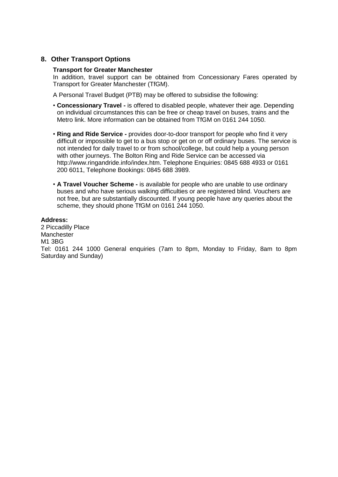# **8. Other Transport Options**

#### **Transport for Greater Manchester**

In addition, travel support can be obtained from Concessionary Fares operated by Transport for Greater Manchester (TfGM).

A Personal Travel Budget (PTB) may be offered to subsidise the following:

- **Concessionary Travel -** is offered to disabled people, whatever their age. Depending on individual circumstances this can be free or cheap travel on buses, trains and the Metro link. More information can be obtained from TfGM on 0161 244 1050.
- **Ring and Ride Service -** provides door-to-door transport for people who find it very difficult or impossible to get to a bus stop or get on or off ordinary buses. The service is not intended for daily travel to or from school/college, but could help a young person with other journeys. The Bolton Ring and Ride Service can be accessed via http://www.ringandride.info/index.htm. Telephone Enquiries: 0845 688 4933 or 0161 200 6011, Telephone Bookings: 0845 688 3989.
- **A Travel Voucher Scheme -** is available for people who are unable to use ordinary buses and who have serious walking difficulties or are registered blind. Vouchers are not free, but are substantially discounted. If young people have any queries about the scheme, they should phone TfGM on 0161 244 1050.

#### **Address:**

2 Piccadilly Place Manchester M1 3BG Tel: 0161 244 1000 General enquiries (7am to 8pm, Monday to Friday, 8am to 8pm Saturday and Sunday)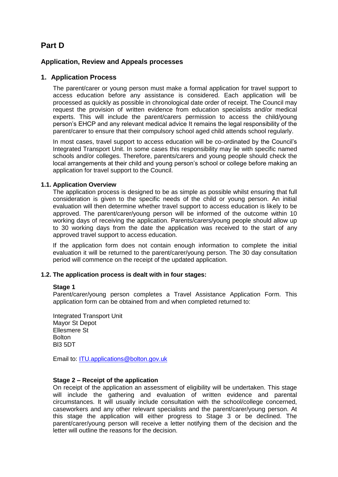# **Part D**

## **Application, Review and Appeals processes**

## **1. Application Process**

The parent/carer or young person must make a formal application for travel support to access education before any assistance is considered. Each application will be processed as quickly as possible in chronological date order of receipt. The Council may request the provision of written evidence from education specialists and/or medical experts. This will include the parent/carers permission to access the child/young person's EHCP and any relevant medical advice It remains the legal responsibility of the parent/carer to ensure that their compulsory school aged child attends school regularly.

In most cases, travel support to access education will be co-ordinated by the Council's Integrated Transport Unit. In some cases this responsibility may lie with specific named schools and/or colleges. Therefore, parents/carers and young people should check the local arrangements at their child and young person's school or college before making an application for travel support to the Council.

#### **1.1. Application Overview**

The application process is designed to be as simple as possible whilst ensuring that full consideration is given to the specific needs of the child or young person. An initial evaluation will then determine whether travel support to access education is likely to be approved. The parent/carer/young person will be informed of the outcome within 10 working days of receiving the application. Parents/carers/young people should allow up to 30 working days from the date the application was received to the start of any approved travel support to access education.

If the application form does not contain enough information to complete the initial evaluation it will be returned to the parent/carer/young person. The 30 day consultation period will commence on the receipt of the updated application.

### **1.2. The application process is dealt with in four stages:**

#### **Stage 1**

Parent/carer/young person completes a Travel Assistance Application Form. This application form can be obtained from and when completed returned to:

Integrated Transport Unit Mayor St Depot Ellesmere St **Bolton** Bl3 5DT

Email to: [ITU.applications@bolton.gov.uk](mailto:ITU.applications@bolton.gov.uk)

#### **Stage 2 – Receipt of the application**

On receipt of the application an assessment of eligibility will be undertaken. This stage will include the gathering and evaluation of written evidence and parental circumstances. It will usually include consultation with the school/college concerned, caseworkers and any other relevant specialists and the parent/carer/young person. At this stage the application will either progress to Stage 3 or be declined. The parent/carer/young person will receive a letter notifying them of the decision and the letter will outline the reasons for the decision.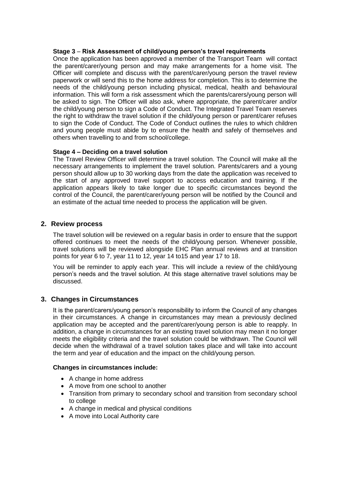#### **Stage 3** – **Risk Assessment of child/young person's travel requirements**

Once the application has been approved a member of the Transport Team will contact the parent/carer/young person and may make arrangements for a home visit. The Officer will complete and discuss with the parent/carer/young person the travel review paperwork or will send this to the home address for completion. This is to determine the needs of the child/young person including physical, medical, health and behavioural information. This will form a risk assessment which the parents/carers/young person will be asked to sign. The Officer will also ask, where appropriate, the parent/carer and/or the child/young person to sign a Code of Conduct. The Integrated Travel Team reserves the right to withdraw the travel solution if the child/young person or parent/carer refuses to sign the Code of Conduct. The Code of Conduct outlines the rules to which children and young people must abide by to ensure the health and safely of themselves and others when travelling to and from school/college.

#### **Stage 4 – Deciding on a travel solution**

The Travel Review Officer will determine a travel solution. The Council will make all the necessary arrangements to implement the travel solution. Parents/carers and a young person should allow up to 30 working days from the date the application was received to the start of any approved travel support to access education and training. If the application appears likely to take longer due to specific circumstances beyond the control of the Council, the parent/carer/young person will be notified by the Council and an estimate of the actual time needed to process the application will be given.

#### **2. Review process**

The travel solution will be reviewed on a regular basis in order to ensure that the support offered continues to meet the needs of the child/young person. Whenever possible, travel solutions will be reviewed alongside EHC Plan annual reviews and at transition points for year 6 to 7, year 11 to 12, year 14 to15 and year 17 to 18.

You will be reminder to apply each year. This will include a review of the child/young person's needs and the travel solution. At this stage alternative travel solutions may be discussed.

#### **3. Changes in Circumstances**

It is the parent/carers/young person's responsibility to inform the Council of any changes in their circumstances. A change in circumstances may mean a previously declined application may be accepted and the parent/carer/young person is able to reapply. In addition, a change in circumstances for an existing travel solution may mean it no longer meets the eligibility criteria and the travel solution could be withdrawn. The Council will decide when the withdrawal of a travel solution takes place and will take into account the term and year of education and the impact on the child/young person.

#### **Changes in circumstances include:**

- A change in home address
- A move from one school to another
- Transition from primary to secondary school and transition from secondary school to college
- A change in medical and physical conditions
- A move into Local Authority care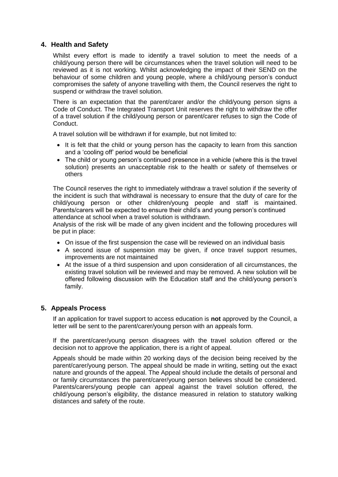# **4. Health and Safety**

Whilst every effort is made to identify a travel solution to meet the needs of a child/young person there will be circumstances when the travel solution will need to be reviewed as it is not working. Whilst acknowledging the impact of their SEND on the behaviour of some children and young people, where a child/young person's conduct compromises the safety of anyone travelling with them, the Council reserves the right to suspend or withdraw the travel solution.

There is an expectation that the parent/carer and/or the child/young person signs a Code of Conduct. The Integrated Transport Unit reserves the right to withdraw the offer of a travel solution if the child/young person or parent/carer refuses to sign the Code of Conduct.

A travel solution will be withdrawn if for example, but not limited to:

- It is felt that the child or young person has the capacity to learn from this sanction and a 'cooling off' period would be beneficial
- The child or young person's continued presence in a vehicle (where this is the travel solution) presents an unacceptable risk to the health or safety of themselves or others

The Council reserves the right to immediately withdraw a travel solution if the severity of the incident is such that withdrawal is necessary to ensure that the duty of care for the child/young person or other children/young people and staff is maintained. Parents/carers will be expected to ensure their child's and young person's continued attendance at school when a travel solution is withdrawn.

Analysis of the risk will be made of any given incident and the following procedures will be put in place:

- On issue of the first suspension the case will be reviewed on an individual basis
- A second issue of suspension may be given, if once travel support resumes, improvements are not maintained
- At the issue of a third suspension and upon consideration of all circumstances, the existing travel solution will be reviewed and may be removed. A new solution will be offered following discussion with the Education staff and the child/young person's family.

#### **5. Appeals Process**

If an application for travel support to access education is **not** approved by the Council, a letter will be sent to the parent/carer/young person with an appeals form.

If the parent/carer/young person disagrees with the travel solution offered or the decision not to approve the application, there is a right of appeal.

Appeals should be made within 20 working days of the decision being received by the parent/carer/young person. The appeal should be made in writing, setting out the exact nature and grounds of the appeal. The Appeal should include the details of personal and or family circumstances the parent/carer/young person believes should be considered. Parents/carers/young people can appeal against the travel solution offered, the child/young person's eligibility, the distance measured in relation to statutory walking distances and safety of the route.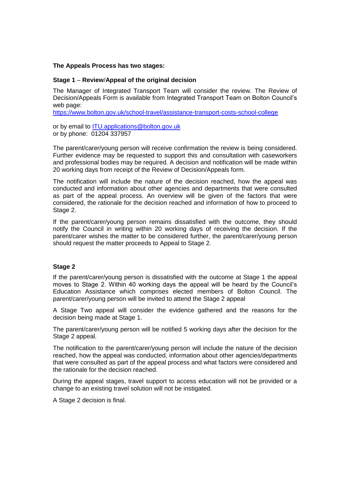#### **The Appeals Process has two stages:**

#### **Stage 1** – **Review**/**Appeal of the original decision**

The Manager of Integrated Transport Team will consider the review. The Review of Decision/Appeals Form is available from Integrated Transport Team on Bolton Council's web page:

<https://www.bolton.gov.uk/school-travel/assistance-transport-costs-school-college>

or by email to **ITU**.applications@bolton.gov.uk or by phone: 01204 337957

The parent/carer/young person will receive confirmation the review is being considered. Further evidence may be requested to support this and consultation with caseworkers and professional bodies may be required. A decision and notification will be made within 20 working days from receipt of the Review of Decision/Appeals form.

The notification will include the nature of the decision reached, how the appeal was conducted and information about other agencies and departments that were consulted as part of the appeal process. An overview will be given of the factors that were considered, the rationale for the decision reached and information of how to proceed to Stage 2.

If the parent/carer/young person remains dissatisfied with the outcome, they should notify the Council in writing within 20 working days of receiving the decision. If the parent/carer wishes the matter to be considered further, the parent/carer/young person should request the matter proceeds to Appeal to Stage 2.

#### **Stage 2**

If the parent/carer/young person is dissatisfied with the outcome at Stage 1 the appeal moves to Stage 2. Within 40 working days the appeal will be heard by the Council's Education Assistance which comprises elected members of Bolton Council. The parent/carer/young person will be invited to attend the Stage 2 appeal

A Stage Two appeal will consider the evidence gathered and the reasons for the decision being made at Stage 1.

The parent/carer/young person will be notified 5 working days after the decision for the Stage 2 appeal.

The notification to the parent/carer/young person will include the nature of the decision reached, how the appeal was conducted, information about other agencies/departments that were consulted as part of the appeal process and what factors were considered and the rationale for the decision reached.

During the appeal stages, travel support to access education will not be provided or a change to an existing travel solution will not be instigated.

A Stage 2 decision is final.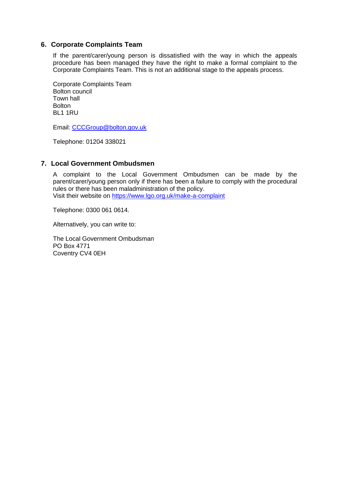### **6. Corporate Complaints Team**

If the parent/carer/young person is dissatisfied with the way in which the appeals procedure has been managed they have the right to make a formal complaint to the Corporate Complaints Team. This is not an additional stage to the appeals process.

Corporate Complaints Team Bolton council Town hall **Bolton** BL1 1RU

Email: [CCCGroup@bolton.gov.uk](mailto:CCCGroup@bolton.gov.uk)

Telephone: 01204 338021

## **7. Local Government Ombudsmen**

A complaint to the Local Government Ombudsmen can be made by the parent/carer/young person only if there has been a failure to comply with the procedural rules or there has been maladministration of the policy. Visit their website on<https://www.lgo.org.uk/make-a-complaint>

Telephone: 0300 061 0614.

Alternatively, you can write to:

The Local Government Ombudsman PO Box 4771 Coventry CV4 0EH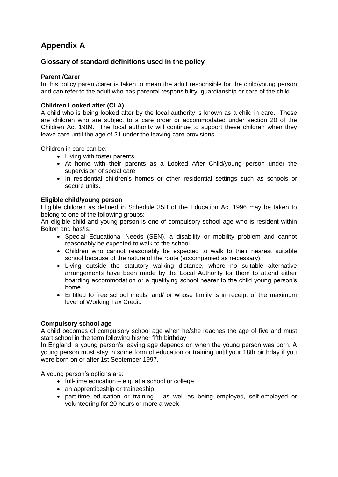# **Appendix A**

# **Glossary of standard definitions used in the policy**

## **Parent /Carer**

In this policy parent/carer is taken to mean the adult responsible for the child/young person and can refer to the adult who has parental responsibility, guardianship or care of the child.

## **Children Looked after (CLA)**

A child who is being looked after by the local authority is known as a child in care. These are children who are subject to a care order or accommodated under section 20 of the Children Act 1989. The local authority will continue to support these children when they leave care until the age of 21 under the leaving care provisions.

Children in care can be:

- Living with foster parents
- At home with their parents as a Looked After Child/young person under the supervision of social care
- In residential children's homes or other residential settings such as schools or secure units.

#### **Eligible child/young person**

Eligible children as defined in Schedule 35B of the Education Act 1996 may be taken to belong to one of the following groups:

An eligible child and young person is one of compulsory school age who is resident within Bolton and has/is:

- Special Educational Needs (SEN), a disability or mobility problem and cannot reasonably be expected to walk to the school
- Children who cannot reasonably be expected to walk to their nearest suitable school because of the nature of the route (accompanied as necessary)
- Living outside the statutory walking distance, where no suitable alternative arrangements have been made by the Local Authority for them to attend either boarding accommodation or a qualifying school nearer to the child young person's home.
- Entitled to free school meals, and/ or whose family is in receipt of the maximum level of Working Tax Credit.

#### **Compulsory school age**

A child becomes of compulsory school age when he/she reaches the age of five and must start school in the term following his/her fifth birthday.

In England, a young person's leaving age depends on when the young person was born. A young person must stay in some form of education or training until your 18th birthday if you were born on or after 1st September 1997.

A young person's options are:

- $\bullet$  full-time education e.g. at a school or college
- an apprenticeship or traineeship
- part-time education or training as well as being employed, self-employed or volunteering for 20 hours or more a week